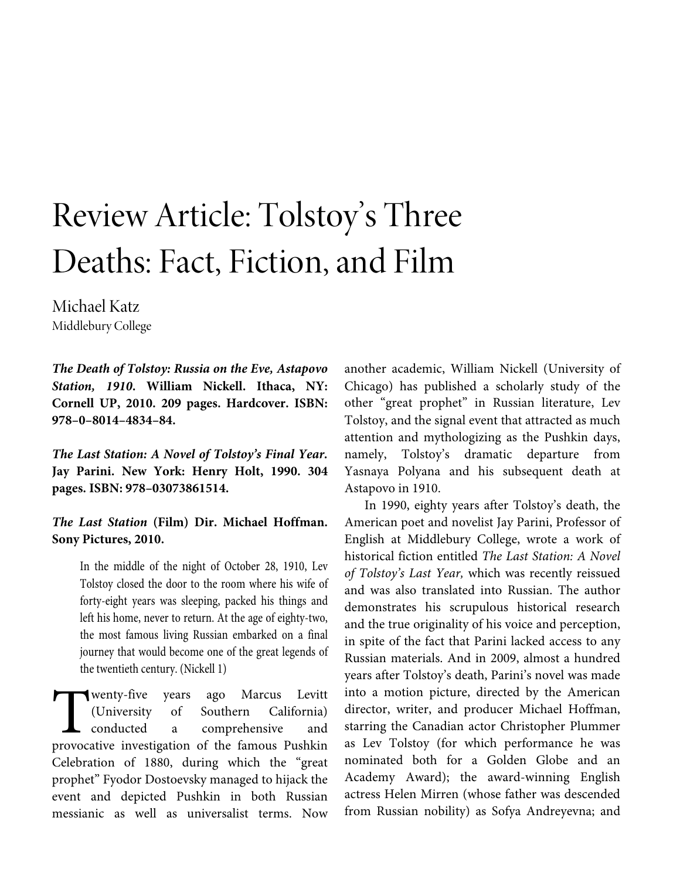## Review Article: Tolstoy's Three Deaths: Fact, Fiction, and Film

Michael Katz Middlebury College

*The Death of Tolstoy: Russia on the Eve, Astapovo Station, 1910***. William Nickell. Ithaca, NY: Cornell UP, 2010. 209 pages. Hardcover. ISBN: 978–0–8014–4834–84.** 

*The Last Station: A Novel of Tolstoy's Final Year.*  **Jay Parini. New York: Henry Holt, 1990. 304 pages. ISBN: 978–03073861514.** 

*The Last Station* **(Film) Dir. Michael Hoffman. Sony Pictures, 2010.** 

In the middle of the night of October 28, 1910, Lev Tolstoy closed the door to the room where his wife of forty-eight years was sleeping, packed his things and left his home, never to return. At the age of eighty-two, the most famous living Russian embarked on a final journey that would become one of the great legends of the twentieth century. (Nickell 1)

wenty-five years ago Marcus Levitt (University of Southern California) conducted a comprehensive and **Provide the Southern Servestigation** Christian California)<br>
The famous Conducted and provocative investigation of the famous Pushkin Celebration of 1880, during which the "great prophet" Fyodor Dostoevsky managed to hijack the event and depicted Pushkin in both Russian messianic as well as universalist terms. Now

another academic, William Nickell (University of Chicago) has published a scholarly study of the other "great prophet" in Russian literature, Lev Tolstoy, and the signal event that attracted as much attention and mythologizing as the Pushkin days, namely, Tolstoy's dramatic departure from Yasnaya Polyana and his subsequent death at Astapovo in 1910.

In 1990, eighty years after Tolstoy's death, the American poet and novelist Jay Parini, Professor of English at Middlebury College, wrote a work of historical fiction entitled *The Last Station: A Novel of Tolstoy's Last Year,* which was recently reissued and was also translated into Russian. The author demonstrates his scrupulous historical research and the true originality of his voice and perception, in spite of the fact that Parini lacked access to any Russian materials. And in 2009, almost a hundred years after Tolstoy's death, Parini's novel was made into a motion picture, directed by the American director, writer, and producer Michael Hoffman, starring the Canadian actor Christopher Plummer as Lev Tolstoy (for which performance he was nominated both for a Golden Globe and an Academy Award); the award-winning English actress Helen Mirren (whose father was descended from Russian nobility) as Sofya Andreyevna; and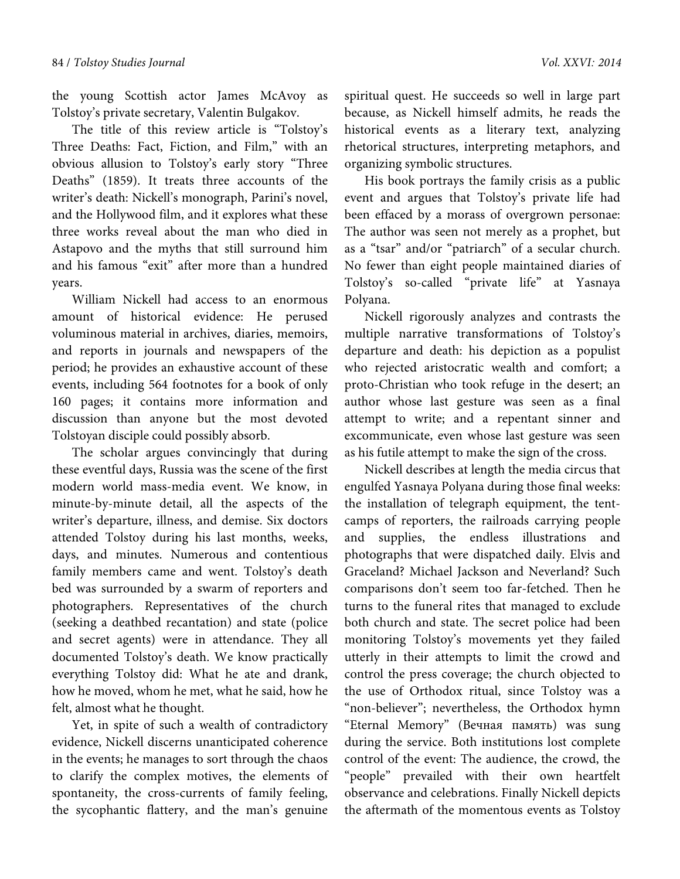the young Scottish actor James McAvoy as Tolstoy's private secretary, Valentin Bulgakov.

The title of this review article is "Tolstoy's Three Deaths: Fact, Fiction, and Film," with an obvious allusion to Tolstoy's early story "Three Deaths" (1859). It treats three accounts of the writer's death: Nickell's monograph, Parini's novel, and the Hollywood film, and it explores what these three works reveal about the man who died in Astapovo and the myths that still surround him and his famous "exit" after more than a hundred years.

William Nickell had access to an enormous amount of historical evidence: He perused voluminous material in archives, diaries, memoirs, and reports in journals and newspapers of the period; he provides an exhaustive account of these events, including 564 footnotes for a book of only 160 pages; it contains more information and discussion than anyone but the most devoted Tolstoyan disciple could possibly absorb.

The scholar argues convincingly that during these eventful days, Russia was the scene of the first modern world mass-media event. We know, in minute-by-minute detail, all the aspects of the writer's departure, illness, and demise. Six doctors attended Tolstoy during his last months, weeks, days, and minutes. Numerous and contentious family members came and went. Tolstoy's death bed was surrounded by a swarm of reporters and photographers. Representatives of the church (seeking a deathbed recantation) and state (police and secret agents) were in attendance. They all documented Tolstoy's death. We know practically everything Tolstoy did: What he ate and drank, how he moved, whom he met, what he said, how he felt, almost what he thought.

Yet, in spite of such a wealth of contradictory evidence, Nickell discerns unanticipated coherence in the events; he manages to sort through the chaos to clarify the complex motives, the elements of spontaneity, the cross-currents of family feeling, the sycophantic flattery, and the man's genuine

spiritual quest. He succeeds so well in large part because, as Nickell himself admits, he reads the historical events as a literary text, analyzing rhetorical structures, interpreting metaphors, and organizing symbolic structures.

His book portrays the family crisis as a public event and argues that Tolstoy's private life had been effaced by a morass of overgrown personae: The author was seen not merely as a prophet, but as a "tsar" and/or "patriarch" of a secular church. No fewer than eight people maintained diaries of Tolstoy's so-called "private life" at Yasnaya Polyana.

Nickell rigorously analyzes and contrasts the multiple narrative transformations of Tolstoy's departure and death: his depiction as a populist who rejected aristocratic wealth and comfort; a proto-Christian who took refuge in the desert; an author whose last gesture was seen as a final attempt to write; and a repentant sinner and excommunicate, even whose last gesture was seen as his futile attempt to make the sign of the cross.

Nickell describes at length the media circus that engulfed Yasnaya Polyana during those final weeks: the installation of telegraph equipment, the tentcamps of reporters, the railroads carrying people and supplies, the endless illustrations and photographs that were dispatched daily. Elvis and Graceland? Michael Jackson and Neverland? Such comparisons don't seem too far-fetched. Then he turns to the funeral rites that managed to exclude both church and state. The secret police had been monitoring Tolstoy's movements yet they failed utterly in their attempts to limit the crowd and control the press coverage; the church objected to the use of Orthodox ritual, since Tolstoy was a "non-believer"; nevertheless, the Orthodox hymn "Eternal Memory" (Вечная память) was sung during the service. Both institutions lost complete control of the event: The audience, the crowd, the "people" prevailed with their own heartfelt observance and celebrations. Finally Nickell depicts the aftermath of the momentous events as Tolstoy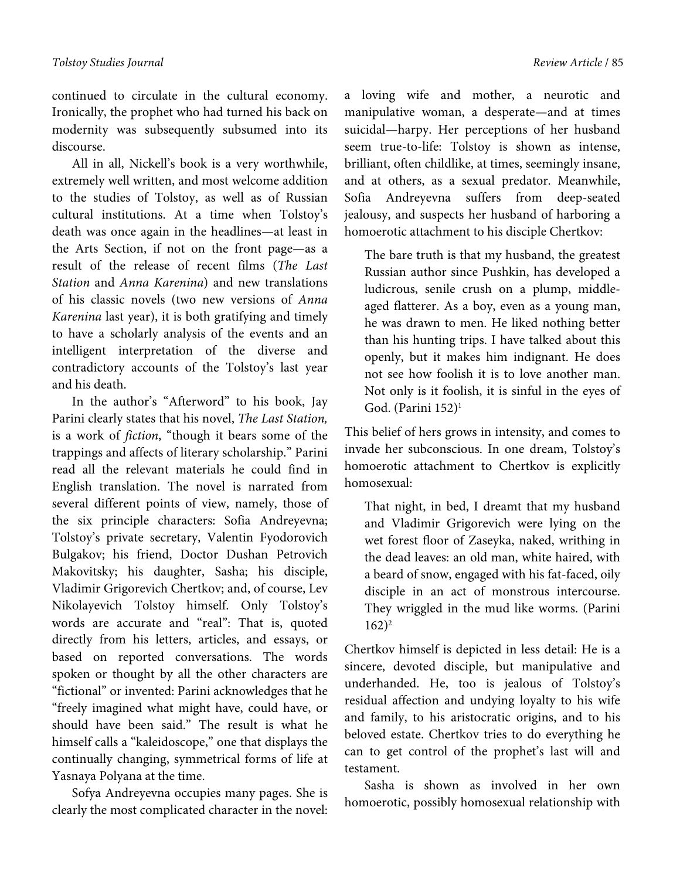continued to circulate in the cultural economy. Ironically, the prophet who had turned his back on modernity was subsequently subsumed into its discourse.

All in all, Nickell's book is a very worthwhile, extremely well written, and most welcome addition to the studies of Tolstoy, as well as of Russian cultural institutions. At a time when Tolstoy's death was once again in the headlines—at least in the Arts Section, if not on the front page—as a result of the release of recent films (*The Last Station* and *Anna Karenina*) and new translations of his classic novels (two new versions of *Anna Karenina* last year), it is both gratifying and timely to have a scholarly analysis of the events and an intelligent interpretation of the diverse and contradictory accounts of the Tolstoy's last year and his death.

In the author's "Afterword" to his book, Jay Parini clearly states that his novel, *The Last Station,* is a work of *fiction*, "though it bears some of the trappings and affects of literary scholarship." Parini read all the relevant materials he could find in English translation. The novel is narrated from several different points of view, namely, those of the six principle characters: Sofia Andreyevna; Tolstoy's private secretary, Valentin Fyodorovich Bulgakov; his friend, Doctor Dushan Petrovich Makovitsky; his daughter, Sasha; his disciple, Vladimir Grigorevich Chertkov; and, of course, Lev Nikolayevich Tolstoy himself. Only Tolstoy's words are accurate and "real": That is, quoted directly from his letters, articles, and essays, or based on reported conversations. The words spoken or thought by all the other characters are "fictional" or invented: Parini acknowledges that he "freely imagined what might have, could have, or should have been said." The result is what he himself calls a "kaleidoscope," one that displays the continually changing, symmetrical forms of life at Yasnaya Polyana at the time.

Sofya Andreyevna occupies many pages. She is clearly the most complicated character in the novel: a loving wife and mother, a neurotic and manipulative woman, a desperate—and at times suicidal—harpy. Her perceptions of her husband seem true-to-life: Tolstoy is shown as intense, brilliant, often childlike, at times, seemingly insane, and at others, as a sexual predator. Meanwhile, Sofia Andreyevna suffers from deep-seated jealousy, and suspects her husband of harboring a homoerotic attachment to his disciple Chertkov:

The bare truth is that my husband, the greatest Russian author since Pushkin, has developed a ludicrous, senile crush on a plump, middleaged flatterer. As a boy, even as a young man, he was drawn to men. He liked nothing better than his hunting trips. I have talked about this openly, but it makes him indignant. He does not see how foolish it is to love another man. Not only is it foolish, it is sinful in the eyes of God. (Parini  $152$ )<sup>1</sup>

This belief of hers grows in intensity, and comes to invade her subconscious. In one dream, Tolstoy's homoerotic attachment to Chertkov is explicitly homosexual:

That night, in bed, I dreamt that my husband and Vladimir Grigorevich were lying on the wet forest floor of Zaseyka, naked, writhing in the dead leaves: an old man, white haired, with a beard of snow, engaged with his fat-faced, oily disciple in an act of monstrous intercourse. They wriggled in the mud like worms. (Parini  $162)^2$ 

Chertkov himself is depicted in less detail: He is a sincere, devoted disciple, but manipulative and underhanded. He, too is jealous of Tolstoy's residual affection and undying loyalty to his wife and family, to his aristocratic origins, and to his beloved estate. Chertkov tries to do everything he can to get control of the prophet's last will and testament.

Sasha is shown as involved in her own homoerotic, possibly homosexual relationship with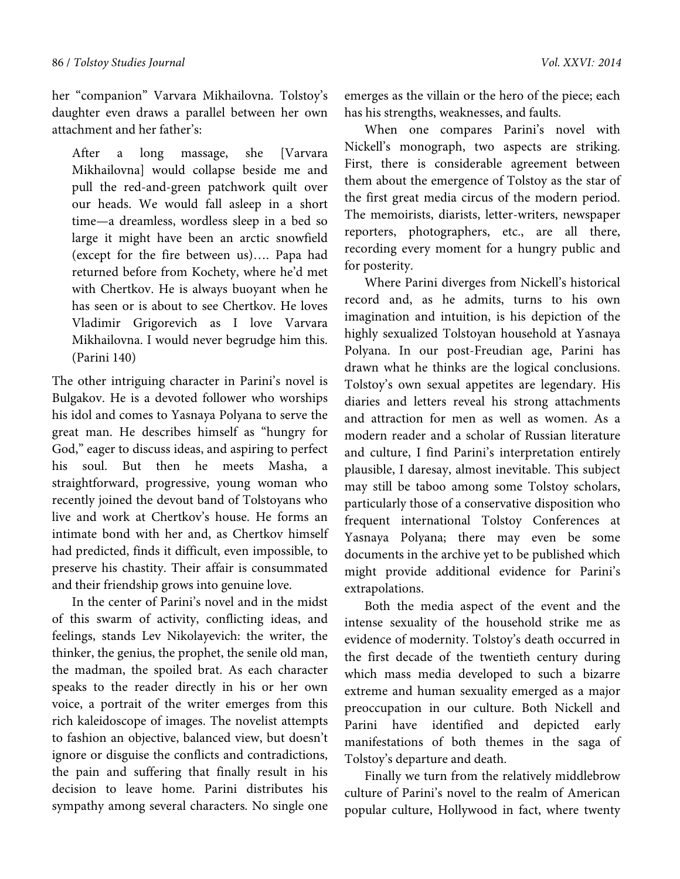her "companion" Varvara Mikhailovna. Tolstoy's daughter even draws a parallel between her own attachment and her father's:

After a long massage, she [Varvara Mikhailovna] would collapse beside me and pull the red-and-green patchwork quilt over our heads. We would fall asleep in a short time—a dreamless, wordless sleep in a bed so large it might have been an arctic snowfield (except for the fire between us)…. Papa had returned before from Kochety, where he'd met with Chertkov. He is always buoyant when he has seen or is about to see Chertkov. He loves Vladimir Grigorevich as I love Varvara Mikhailovna. I would never begrudge him this. (Parini 140)

The other intriguing character in Parini's novel is Bulgakov. He is a devoted follower who worships his idol and comes to Yasnaya Polyana to serve the great man. He describes himself as "hungry for God," eager to discuss ideas, and aspiring to perfect his soul. But then he meets Masha, a straightforward, progressive, young woman who recently joined the devout band of Tolstoyans who live and work at Chertkov's house. He forms an intimate bond with her and, as Chertkov himself had predicted, finds it difficult, even impossible, to preserve his chastity. Their affair is consummated and their friendship grows into genuine love.

In the center of Parini's novel and in the midst of this swarm of activity, conflicting ideas, and feelings, stands Lev Nikolayevich: the writer, the thinker, the genius, the prophet, the senile old man, the madman, the spoiled brat. As each character speaks to the reader directly in his or her own voice, a portrait of the writer emerges from this rich kaleidoscope of images. The novelist attempts to fashion an objective, balanced view, but doesn't ignore or disguise the conflicts and contradictions, the pain and suffering that finally result in his decision to leave home. Parini distributes his sympathy among several characters. No single one

emerges as the villain or the hero of the piece; each has his strengths, weaknesses, and faults.

When one compares Parini's novel with Nickell's monograph, two aspects are striking. First, there is considerable agreement between them about the emergence of Tolstoy as the star of the first great media circus of the modern period. The memoirists, diarists, letter-writers, newspaper reporters, photographers, etc., are all there, recording every moment for a hungry public and for posterity.

Where Parini diverges from Nickell's historical record and, as he admits, turns to his own imagination and intuition, is his depiction of the highly sexualized Tolstoyan household at Yasnaya Polyana. In our post-Freudian age, Parini has drawn what he thinks are the logical conclusions. Tolstoy's own sexual appetites are legendary. His diaries and letters reveal his strong attachments and attraction for men as well as women. As a modern reader and a scholar of Russian literature and culture, I find Parini's interpretation entirely plausible, I daresay, almost inevitable. This subject may still be taboo among some Tolstoy scholars, particularly those of a conservative disposition who frequent international Tolstoy Conferences at Yasnaya Polyana; there may even be some documents in the archive yet to be published which might provide additional evidence for Parini's extrapolations.

Both the media aspect of the event and the intense sexuality of the household strike me as evidence of modernity. Tolstoy's death occurred in the first decade of the twentieth century during which mass media developed to such a bizarre extreme and human sexuality emerged as a major preoccupation in our culture. Both Nickell and Parini have identified and depicted early manifestations of both themes in the saga of Tolstoy's departure and death.

Finally we turn from the relatively middlebrow culture of Parini's novel to the realm of American popular culture, Hollywood in fact, where twenty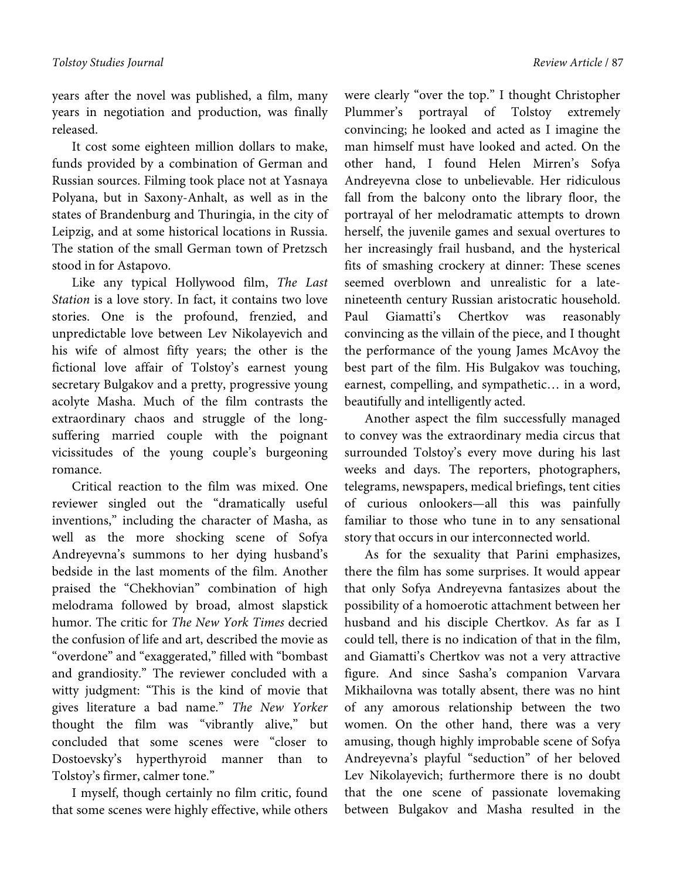years after the novel was published, a film, many years in negotiation and production, was finally released.

It cost some eighteen million dollars to make, funds provided by a combination of German and Russian sources. Filming took place not at Yasnaya Polyana, but in Saxony-Anhalt, as well as in the states of Brandenburg and Thuringia, in the city of Leipzig, and at some historical locations in Russia. The station of the small German town of Pretzsch stood in for Astapovo.

Like any typical Hollywood film, *The Last Station* is a love story. In fact, it contains two love stories. One is the profound, frenzied, and unpredictable love between Lev Nikolayevich and his wife of almost fifty years; the other is the fictional love affair of Tolstoy's earnest young secretary Bulgakov and a pretty, progressive young acolyte Masha. Much of the film contrasts the extraordinary chaos and struggle of the longsuffering married couple with the poignant vicissitudes of the young couple's burgeoning romance.

Critical reaction to the film was mixed. One reviewer singled out the "dramatically useful inventions," including the character of Masha, as well as the more shocking scene of Sofya Andreyevna's summons to her dying husband's bedside in the last moments of the film. Another praised the "Chekhovian" combination of high melodrama followed by broad, almost slapstick humor. The critic for *The New York Times* decried the confusion of life and art, described the movie as "overdone" and "exaggerated," filled with "bombast and grandiosity." The reviewer concluded with a witty judgment: "This is the kind of movie that gives literature a bad name." *The New Yorker* thought the film was "vibrantly alive," but concluded that some scenes were "closer to Dostoevsky's hyperthyroid manner than to Tolstoy's firmer, calmer tone."

I myself, though certainly no film critic, found that some scenes were highly effective, while others

were clearly "over the top." I thought Christopher Plummer's portrayal of Tolstoy extremely convincing; he looked and acted as I imagine the man himself must have looked and acted. On the other hand, I found Helen Mirren's Sofya Andreyevna close to unbelievable. Her ridiculous fall from the balcony onto the library floor, the portrayal of her melodramatic attempts to drown herself, the juvenile games and sexual overtures to her increasingly frail husband, and the hysterical fits of smashing crockery at dinner: These scenes seemed overblown and unrealistic for a latenineteenth century Russian aristocratic household. Paul Giamatti's Chertkov was reasonably convincing as the villain of the piece, and I thought the performance of the young James McAvoy the best part of the film. His Bulgakov was touching, earnest, compelling, and sympathetic… in a word, beautifully and intelligently acted.

Another aspect the film successfully managed to convey was the extraordinary media circus that surrounded Tolstoy's every move during his last weeks and days. The reporters, photographers, telegrams, newspapers, medical briefings, tent cities of curious onlookers—all this was painfully familiar to those who tune in to any sensational story that occurs in our interconnected world.

As for the sexuality that Parini emphasizes, there the film has some surprises. It would appear that only Sofya Andreyevna fantasizes about the possibility of a homoerotic attachment between her husband and his disciple Chertkov. As far as I could tell, there is no indication of that in the film, and Giamatti's Chertkov was not a very attractive figure. And since Sasha's companion Varvara Mikhailovna was totally absent, there was no hint of any amorous relationship between the two women. On the other hand, there was a very amusing, though highly improbable scene of Sofya Andreyevna's playful "seduction" of her beloved Lev Nikolayevich; furthermore there is no doubt that the one scene of passionate lovemaking between Bulgakov and Masha resulted in the